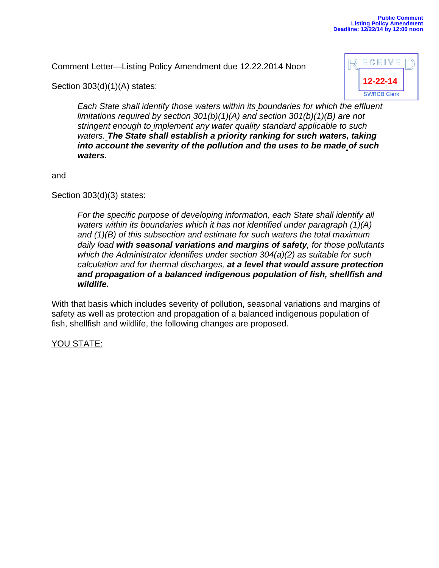Comment Letter—Listing Policy Amendment due 12.22.2014 Noon



Section 303(d)(1)(A) states:

*Each State shall identify those waters within its boundaries for which the effluent limitations required by section 301(b)(1)(A) and section 301(b)(1)(B) are not stringent enough to implement any water quality standard applicable to such waters. The State shall establish a priority ranking for such waters, taking into account the severity of the pollution and the uses to be made of such waters.* 

and

Section 303(d)(3) states:

For the specific purpose of developing information, each State shall identify all *waters within its boundaries which it has not identified under paragraph (1)(A) and (1)(B) of this subsection and estimate for such waters the total maximum daily load with seasonal variations and margins of safety, for those pollutants which the Administrator identifies under section 304(a)(2) as suitable for such calculation and for thermal discharges, at a level that would assure protection and propagation of a balanced indigenous population of fish, shellfish and wildlife.* 

With that basis which includes severity of pollution, seasonal variations and margins of safety as well as protection and propagation of a balanced indigenous population of fish, shellfish and wildlife, the following changes are proposed.

## YOU STATE: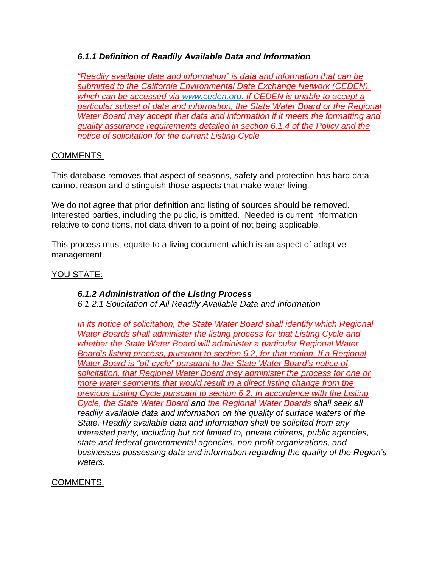# *6.1.1 Definition of Readily Available Data and Information*

*"Readily available data and information" is data and information that can be submitted to the California Environmental Data Exchange Network (CEDEN), which can be accessed via www.ceden.org. If CEDEN is unable to accept a particular subset of data and information, the State Water Board or the Regional Water Board may accept that data and information if it meets the formatting and quality assurance requirements detailed in section 6.1.4 of the Policy and the notice of solicitation for the current Listing Cycle* 

#### COMMENTS:

This database removes that aspect of seasons, safety and protection has hard data cannot reason and distinguish those aspects that make water living.

We do not agree that prior definition and listing of sources should be removed. Interested parties, including the public, is omitted. Needed is current information relative to conditions, not data driven to a point of not being applicable.

This process must equate to a living document which is an aspect of adaptive management.

## <u>YOU STATE:</u>

## *6.1.2 Administration of the Listing Process*

*6.1.2.1 Solicitation of All Readily Available Data and Information* 

*In its notice of solicitation, the State Water Board shall identify which Regional Water Boards shall administer the listing process for that Listing Cycle and whether the State Water Board will administer a particular Regional Water Board's listing process, pursuant to section 6.2, for that region. If a Regional Water Board is "off cycle" pursuant to the State Water Board's notice of solicitation, that Regional Water Board may administer the process for one or more water segments that would result in a direct listing change from the previous Listing Cycle pursuant to section 6.2. In accordance with the Listing Cycle, the State Water Board and the Regional Water Boards shall seek all readily available data and information on the quality of surface waters of the State. Readily available data and information shall be solicited from any interested party, including but not limited to, private citizens, public agencies, state and federal governmental agencies, non-profit organizations, and businesses possessing data and information regarding the quality of the Region's waters.* 

## COMMENTS: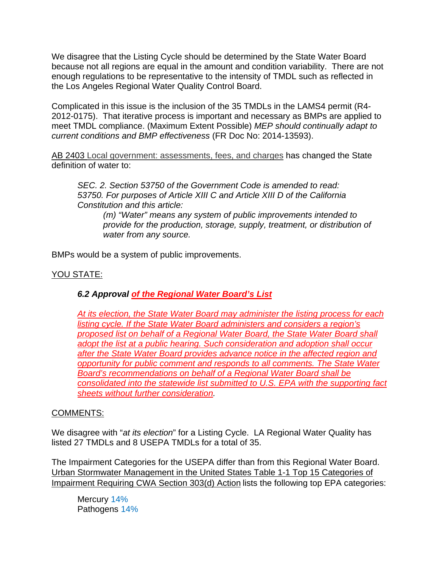We disagree that the Listing Cycle should be determined by the State Water Board because not all regions are equal in the amount and condition variability. There are not enough regulations to be representative to the intensity of TMDL such as reflected in the Los Angeles Regional Water Quality Control Board.

Complicated in this issue is the inclusion of the 35 TMDLs in the LAMS4 permit (R4- 2012-0175). That iterative process is important and necessary as BMPs are applied to meet TMDL compliance. (Maximum Extent Possible) *MEP should continually adapt to current conditions and BMP effectiveness* (FR Doc No: 2014-13593).

AB 2403 Local government: assessments, fees, and charges has changed the State definition of water to:

*SEC. 2. Section 53750 of the Government Code is amended to read: 53750. For purposes of Article XIII C and Article XIII D of the California Constitution and this article:*

*(m) "Water" means any system of public improvements intended to provide for the production, storage, supply, treatment, or distribution of water from any source.*

BMPs would be a system of public improvements.

## YOU STATE:

## *6.2 Approval of the Regional Water Board's List*

*At its election, the State Water Board may administer the listing process for each listing cycle. If the State Water Board administers and considers a region's proposed list on behalf of a Regional Water Board, the State Water Board shall adopt the list at a public hearing. Such consideration and adoption shall occur after the State Water Board provides advance notice in the affected region and opportunity for public comment and responds to all comments. The State Water Board's recommendations on behalf of a Regional Water Board shall be consolidated into the statewide list submitted to U.S. EPA with the supporting fact sheets without further consideration.*

#### COMMENTS:

We disagree with "*at its election*" for a Listing Cycle. LA Regional Water Quality has listed 27 TMDLs and 8 USEPA TMDLs for a total of 35.

The Impairment Categories for the USEPA differ than from this Regional Water Board. Urban Stormwater Management in the United States Table 1-1 Top 15 Categories of Impairment Requiring CWA Section 303(d) Action lists the following top EPA categories:

Mercury 14% Pathogens 14%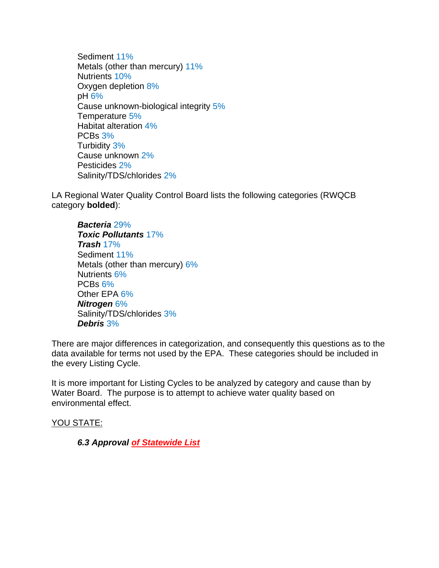Sediment 11% Metals (other than mercury) 11% Nutrients 10% Oxygen depletion 8% pH 6% Cause unknown-biological integrity 5% Temperature 5% Habitat alteration 4% PCBs 3% Turbidity 3% Cause unknown 2% Pesticides 2% Salinity/TDS/chlorides 2%

LA Regional Water Quality Control Board lists the following categories (RWQCB category **bolded**):

*Bacteria* 29% *Toxic Pollutants* 17% *Trash* 17% Sediment 11% Metals (other than mercury) 6% Nutrients 6% PCBs 6% Other EPA 6% *Nitrogen* 6% Salinity/TDS/chlorides 3% *Debris* 3%

There are major differences in categorization, and consequently this questions as to the data available for terms not used by the EPA. These categories should be included in the every Listing Cycle.

It is more important for Listing Cycles to be analyzed by category and cause than by Water Board. The purpose is to attempt to achieve water quality based on environmental effect.

YOU STATE:

*6.3 Approval of Statewide List*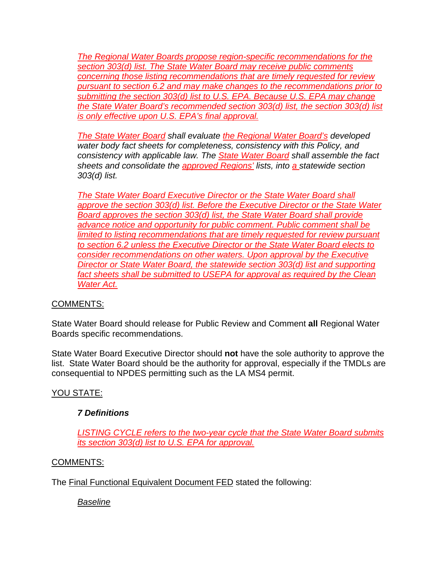*The Regional Water Boards propose region-specific recommendations for the section 303(d) list. The State Water Board may receive public comments concerning those listing recommendations that are timely requested for review pursuant to section 6.2 and may make changes to the recommendations prior to submitting the section 303(d) list to U.S. EPA. Because U.S. EPA may change the State Water Board's recommended section 303(d) list, the section 303(d) list is only effective upon U.S. EPA's final approval.* 

*The State Water Board shall evaluate the Regional Water Board's developed water body fact sheets for completeness, consistency with this Policy, and consistency with applicable law. The State Water Board shall assemble the fact sheets and consolidate the approved Regions' lists, into a statewide section 303(d) list.* 

*The State Water Board Executive Director or the State Water Board shall approve the section 303(d) list. Before the Executive Director or the State Water Board approves the section 303(d) list, the State Water Board shall provide advance notice and opportunity for public comment. Public comment shall be limited to listing recommendations that are timely requested for review pursuant to section 6.2 unless the Executive Director or the State Water Board elects to consider recommendations on other waters. Upon approval by the Executive Director or State Water Board, the statewide section 303(d) list and supporting*  fact sheets shall be submitted to USEPA for approval as required by the Clean *Water Act.* 

## COMMENTS:

State Water Board should release for Public Review and Comment **all** Regional Water Boards specific recommendations.

State Water Board Executive Director should **not** have the sole authority to approve the list. State Water Board should be the authority for approval, especially if the TMDLs are consequential to NPDES permitting such as the LA MS4 permit.

## YOU STATE:

## *7 Definitions*

*LISTING CYCLE refers to the two-year cycle that the State Water Board submits its section 303(d) list to U.S. EPA for approval.* 

## COMMENTS:

The Final Functional Equivalent Document FED stated the following:

*Baseline*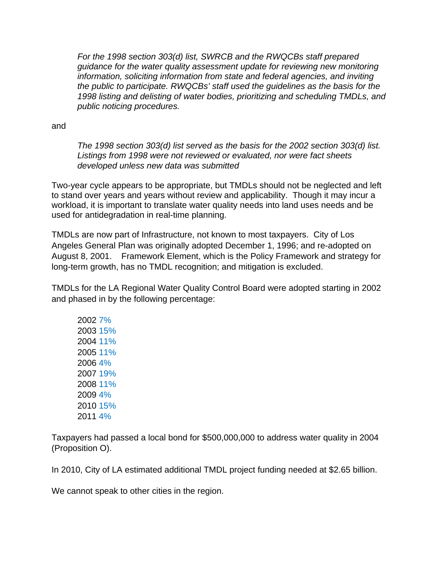*For the 1998 section 303(d) list, SWRCB and the RWQCBs staff prepared guidance for the water quality assessment update for reviewing new monitoring information, soliciting information from state and federal agencies, and inviting the public to participate. RWQCBs' staff used the guidelines as the basis for the 1998 listing and delisting of water bodies, prioritizing and scheduling TMDLs, and public noticing procedures.* 

and

*The 1998 section 303(d) list served as the basis for the 2002 section 303(d) list. Listings from 1998 were not reviewed or evaluated, nor were fact sheets developed unless new data was submitted* 

Two-year cycle appears to be appropriate, but TMDLs should not be neglected and left to stand over years and years without review and applicability. Though it may incur a workload, it is important to translate water quality needs into land uses needs and be used for antidegradation in real-time planning.

TMDLs are now part of Infrastructure, not known to most taxpayers. City of Los Angeles General Plan was originally adopted December 1, 1996; and re-adopted on August 8, 2001. Framework Element, which is the Policy Framework and strategy for long-term growth, has no TMDL recognition; and mitigation is excluded.

TMDLs for the LA Regional Water Quality Control Board were adopted starting in 2002 and phased in by the following percentage:

2002 7% 2003 15% 2004 11% 2005 11% 2006 4% 2007 19% 2008 11% 2009 4% 2010 15% 2011 4%

Taxpayers had passed a local bond for \$500,000,000 to address water quality in 2004 (Proposition O).

In 2010, City of LA estimated additional TMDL project funding needed at \$2.65 billion.

We cannot speak to other cities in the region.